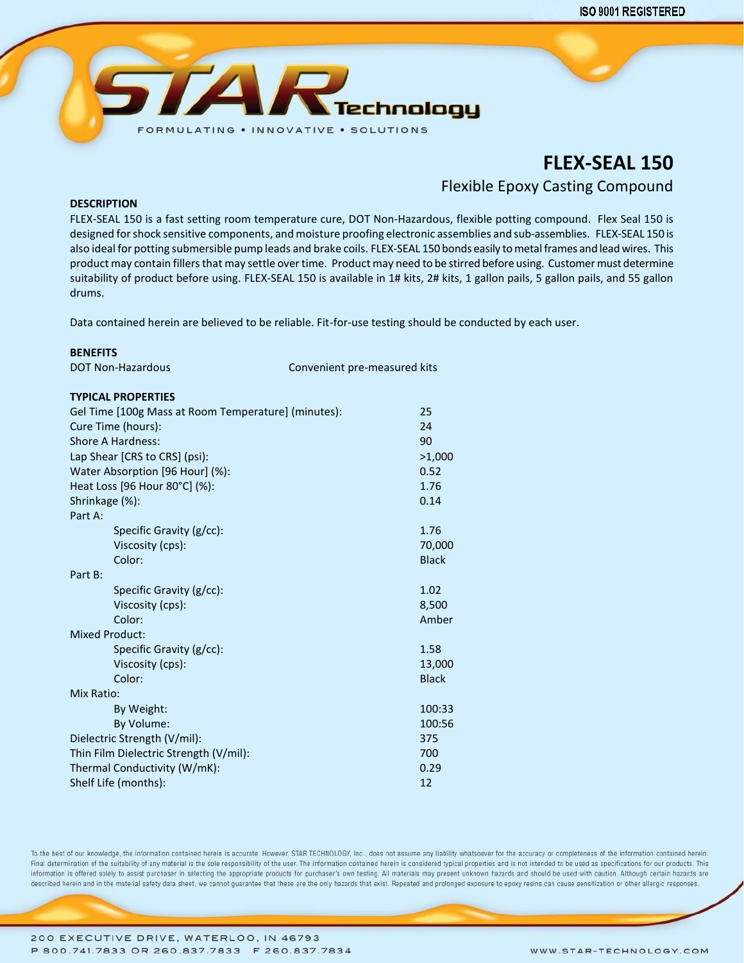

# **FLEX-SEAL 150**

Flexible Epoxy Casting Compound

### **DESCRIPTION**

FLEX-SEAL 150 is a fast setting room temperature cure, DOT Non-Hazardous, flexible potting compound. Flex Seal 150 is designed for shock sensitive components, and moisture proofing electronic assemblies and sub-assemblies. FLEX-SEAL 150 is also ideal for potting submersible pump leads and brake coils. FLEX-SEAL 150 bonds easily to metal frames and lead wires. This product may contain fillers that may settle over time. Product may need to be stirred before using. Customer must determine suitability of product before using. FLEX-SEAL 150 is available in 1# kits, 2# kits, 1 gallon pails, 5 gallon pails, and 55 gallon drums.

Data contained herein are believed to be reliable. Fit-for-use testing should be conducted by each user.

## **BENEFITS**

DOT Non-Hazardous Convenient pre-measured kits

### **TYPICAL PROPERTIES**

| Gel Time [100g Mass at Room Temperature] (minutes): | 25           |
|-----------------------------------------------------|--------------|
| Cure Time (hours):                                  | 24           |
| Shore A Hardness:                                   | 90           |
| Lap Shear [CRS to CRS] (psi):                       | >1,000       |
| Water Absorption [96 Hour] (%):                     | 0.52         |
| Heat Loss [96 Hour 80°C] (%):                       | 1.76         |
| Shrinkage (%):                                      | 0.14         |
| Part A:                                             |              |
| Specific Gravity (g/cc):                            | 1.76         |
| Viscosity (cps):                                    | 70,000       |
| Color:                                              | <b>Black</b> |
| Part B:                                             |              |
| Specific Gravity (g/cc):                            | 1.02         |
| Viscosity (cps):                                    | 8,500        |
| Color:                                              | Amber        |
| <b>Mixed Product:</b>                               |              |
| Specific Gravity (g/cc):                            | 1.58         |
| Viscosity (cps):                                    | 13,000       |
| Color:                                              | <b>Black</b> |
| Mix Ratio:                                          |              |
| By Weight:                                          | 100:33       |
| By Volume:                                          | 100:56       |
| Dielectric Strength (V/mil):                        | 375          |
| Thin Film Dielectric Strength (V/mil):              | 700          |
| Thermal Conductivity (W/mK):                        | 0.29         |
| Shelf Life (months):                                | 12           |

To the best of our knowledge, the information contained herein is accurate. However, STAR TECHNOLOGY, Inc., does not assume any liability whatsoever for the accuracy or completeness of the information contained herein. Final determination of the suitability of any material is the sole responsibility of the user. The information contained herein is considered typical properties and is not intended to be used as specifications for our prod information is offered solely to assist purchaser in selecting the appropriate products for purchaser's own testing. All materials may present unknown hazards and should be used with caution. Although certain hazards are described herein and in the material safety data sheet, we cannot guarantee that these are the only hazards that exist. Repeated and prolonged exposure to epoxy resins can cause sensitization or other allergic responses.